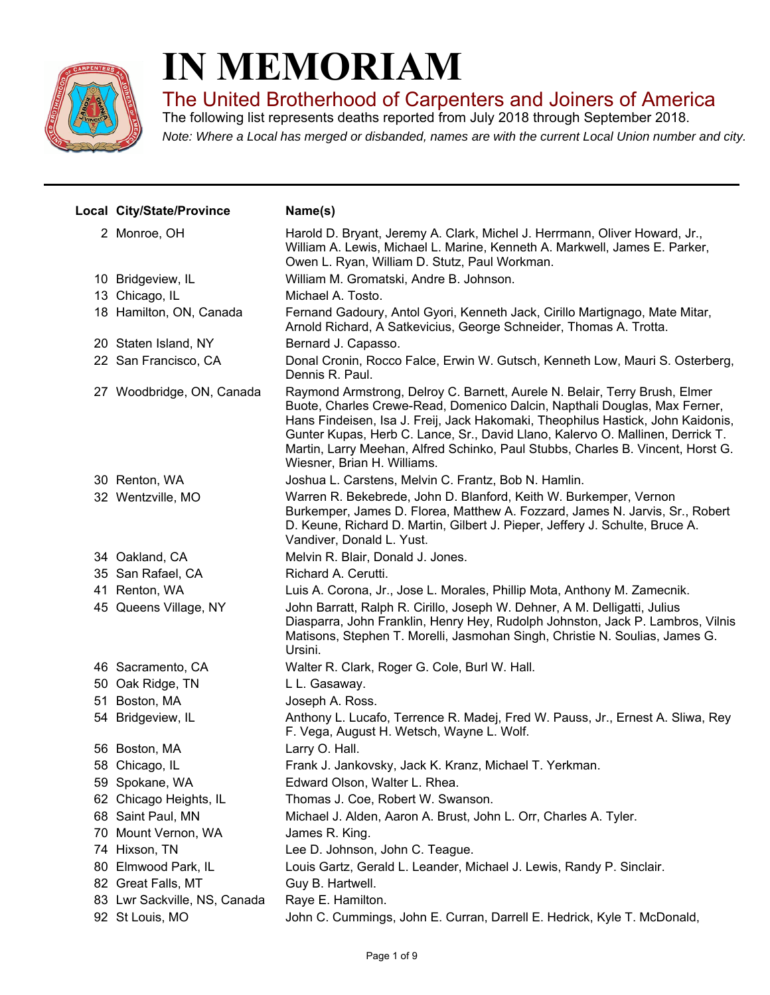

## **IN MEMORIAM**

The United Brotherhood of Carpenters and Joiners of America

*Note: Where a Local has merged or disbanded, names are with the current Local Union number and city.* The following list represents deaths reported from July 2018 through September 2018.

| Local City/State/Province    | Name(s)                                                                                                                                                                                                                                                                                                                                                                                                                                        |
|------------------------------|------------------------------------------------------------------------------------------------------------------------------------------------------------------------------------------------------------------------------------------------------------------------------------------------------------------------------------------------------------------------------------------------------------------------------------------------|
| 2 Monroe, OH                 | Harold D. Bryant, Jeremy A. Clark, Michel J. Herrmann, Oliver Howard, Jr.,<br>William A. Lewis, Michael L. Marine, Kenneth A. Markwell, James E. Parker,<br>Owen L. Ryan, William D. Stutz, Paul Workman.                                                                                                                                                                                                                                      |
| 10 Bridgeview, IL            | William M. Gromatski, Andre B. Johnson.                                                                                                                                                                                                                                                                                                                                                                                                        |
| 13 Chicago, IL               | Michael A. Tosto.                                                                                                                                                                                                                                                                                                                                                                                                                              |
| 18 Hamilton, ON, Canada      | Fernand Gadoury, Antol Gyori, Kenneth Jack, Cirillo Martignago, Mate Mitar,<br>Arnold Richard, A Satkevicius, George Schneider, Thomas A. Trotta.                                                                                                                                                                                                                                                                                              |
| 20 Staten Island, NY         | Bernard J. Capasso.                                                                                                                                                                                                                                                                                                                                                                                                                            |
| 22 San Francisco, CA         | Donal Cronin, Rocco Falce, Erwin W. Gutsch, Kenneth Low, Mauri S. Osterberg,<br>Dennis R. Paul.                                                                                                                                                                                                                                                                                                                                                |
| 27 Woodbridge, ON, Canada    | Raymond Armstrong, Delroy C. Barnett, Aurele N. Belair, Terry Brush, Elmer<br>Buote, Charles Crewe-Read, Domenico Dalcin, Napthali Douglas, Max Ferner,<br>Hans Findeisen, Isa J. Freij, Jack Hakomaki, Theophilus Hastick, John Kaidonis,<br>Gunter Kupas, Herb C. Lance, Sr., David Llano, Kalervo O. Mallinen, Derrick T.<br>Martin, Larry Meehan, Alfred Schinko, Paul Stubbs, Charles B. Vincent, Horst G.<br>Wiesner, Brian H. Williams. |
| 30 Renton, WA                | Joshua L. Carstens, Melvin C. Frantz, Bob N. Hamlin.                                                                                                                                                                                                                                                                                                                                                                                           |
| 32 Wentzville, MO            | Warren R. Bekebrede, John D. Blanford, Keith W. Burkemper, Vernon<br>Burkemper, James D. Florea, Matthew A. Fozzard, James N. Jarvis, Sr., Robert<br>D. Keune, Richard D. Martin, Gilbert J. Pieper, Jeffery J. Schulte, Bruce A.<br>Vandiver, Donald L. Yust.                                                                                                                                                                                 |
| 34 Oakland, CA               | Melvin R. Blair, Donald J. Jones.                                                                                                                                                                                                                                                                                                                                                                                                              |
| 35 San Rafael, CA            | Richard A. Cerutti.                                                                                                                                                                                                                                                                                                                                                                                                                            |
| 41 Renton, WA                | Luis A. Corona, Jr., Jose L. Morales, Phillip Mota, Anthony M. Zamecnik.                                                                                                                                                                                                                                                                                                                                                                       |
| 45 Queens Village, NY        | John Barratt, Ralph R. Cirillo, Joseph W. Dehner, A M. Delligatti, Julius<br>Diasparra, John Franklin, Henry Hey, Rudolph Johnston, Jack P. Lambros, Vilnis<br>Matisons, Stephen T. Morelli, Jasmohan Singh, Christie N. Soulias, James G.<br>Ursini.                                                                                                                                                                                          |
| 46 Sacramento, CA            | Walter R. Clark, Roger G. Cole, Burl W. Hall.                                                                                                                                                                                                                                                                                                                                                                                                  |
| 50 Oak Ridge, TN             | L L. Gasaway.                                                                                                                                                                                                                                                                                                                                                                                                                                  |
| 51 Boston, MA                | Joseph A. Ross.                                                                                                                                                                                                                                                                                                                                                                                                                                |
| 54 Bridgeview, IL            | Anthony L. Lucafo, Terrence R. Madej, Fred W. Pauss, Jr., Ernest A. Sliwa, Rey<br>F. Vega, August H. Wetsch, Wayne L. Wolf.                                                                                                                                                                                                                                                                                                                    |
| 56 Boston, MA                | Larry O. Hall.                                                                                                                                                                                                                                                                                                                                                                                                                                 |
| 58 Chicago, IL               | Frank J. Jankovsky, Jack K. Kranz, Michael T. Yerkman.                                                                                                                                                                                                                                                                                                                                                                                         |
| 59 Spokane, WA               | Edward Olson, Walter L. Rhea.                                                                                                                                                                                                                                                                                                                                                                                                                  |
| 62 Chicago Heights, IL       | Thomas J. Coe, Robert W. Swanson.                                                                                                                                                                                                                                                                                                                                                                                                              |
| 68 Saint Paul, MN            | Michael J. Alden, Aaron A. Brust, John L. Orr, Charles A. Tyler.                                                                                                                                                                                                                                                                                                                                                                               |
| 70 Mount Vernon, WA          | James R. King.                                                                                                                                                                                                                                                                                                                                                                                                                                 |
| 74 Hixson, TN                | Lee D. Johnson, John C. Teague.                                                                                                                                                                                                                                                                                                                                                                                                                |
| 80 Elmwood Park, IL          | Louis Gartz, Gerald L. Leander, Michael J. Lewis, Randy P. Sinclair.                                                                                                                                                                                                                                                                                                                                                                           |
| 82 Great Falls, MT           | Guy B. Hartwell.                                                                                                                                                                                                                                                                                                                                                                                                                               |
| 83 Lwr Sackville, NS, Canada | Raye E. Hamilton.                                                                                                                                                                                                                                                                                                                                                                                                                              |
| 92 St Louis, MO              | John C. Cummings, John E. Curran, Darrell E. Hedrick, Kyle T. McDonald,                                                                                                                                                                                                                                                                                                                                                                        |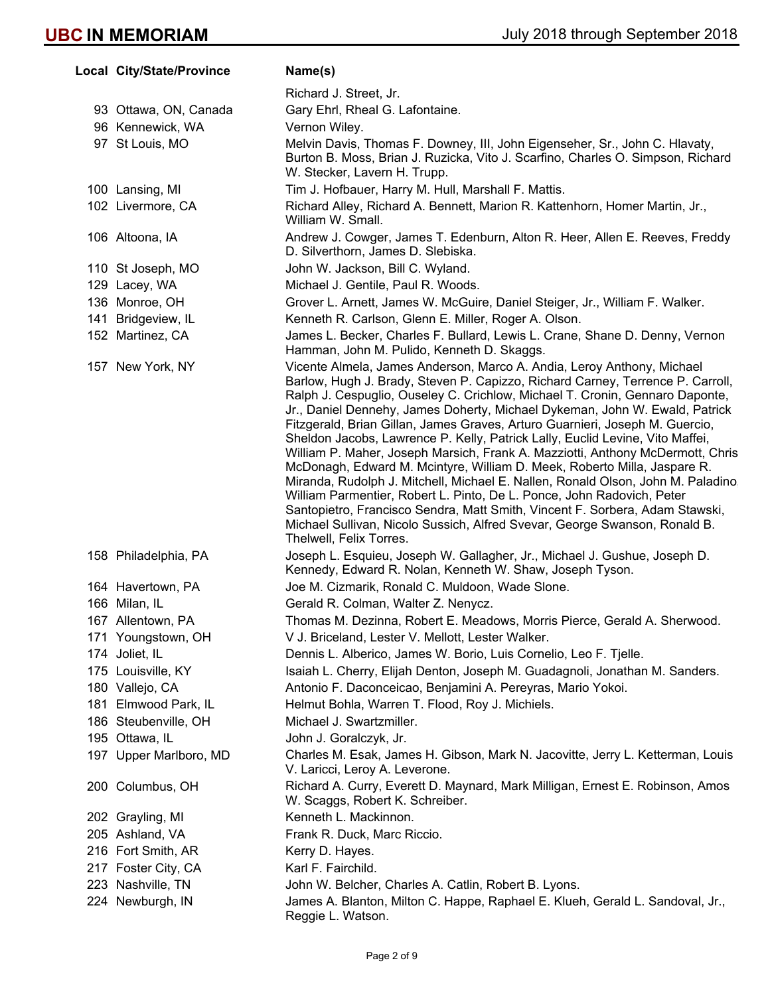| Local City/State/Province | Name(s)                                                                                                                                                                                                                                                                                                                                                                                                                                                                                                                                                                                                                                                                                                                                                                                                                                                                                                                                                                                                       |
|---------------------------|---------------------------------------------------------------------------------------------------------------------------------------------------------------------------------------------------------------------------------------------------------------------------------------------------------------------------------------------------------------------------------------------------------------------------------------------------------------------------------------------------------------------------------------------------------------------------------------------------------------------------------------------------------------------------------------------------------------------------------------------------------------------------------------------------------------------------------------------------------------------------------------------------------------------------------------------------------------------------------------------------------------|
|                           | Richard J. Street, Jr.                                                                                                                                                                                                                                                                                                                                                                                                                                                                                                                                                                                                                                                                                                                                                                                                                                                                                                                                                                                        |
| 93 Ottawa, ON, Canada     | Gary Ehrl, Rheal G. Lafontaine.                                                                                                                                                                                                                                                                                                                                                                                                                                                                                                                                                                                                                                                                                                                                                                                                                                                                                                                                                                               |
| 96 Kennewick, WA          | Vernon Wiley.                                                                                                                                                                                                                                                                                                                                                                                                                                                                                                                                                                                                                                                                                                                                                                                                                                                                                                                                                                                                 |
| 97 St Louis, MO           | Melvin Davis, Thomas F. Downey, III, John Eigenseher, Sr., John C. Hlavaty,<br>Burton B. Moss, Brian J. Ruzicka, Vito J. Scarfino, Charles O. Simpson, Richard<br>W. Stecker, Lavern H. Trupp.                                                                                                                                                                                                                                                                                                                                                                                                                                                                                                                                                                                                                                                                                                                                                                                                                |
| 100 Lansing, MI           | Tim J. Hofbauer, Harry M. Hull, Marshall F. Mattis.                                                                                                                                                                                                                                                                                                                                                                                                                                                                                                                                                                                                                                                                                                                                                                                                                                                                                                                                                           |
| 102 Livermore, CA         | Richard Alley, Richard A. Bennett, Marion R. Kattenhorn, Homer Martin, Jr.,<br>William W. Small.                                                                                                                                                                                                                                                                                                                                                                                                                                                                                                                                                                                                                                                                                                                                                                                                                                                                                                              |
| 106 Altoona, IA           | Andrew J. Cowger, James T. Edenburn, Alton R. Heer, Allen E. Reeves, Freddy<br>D. Silverthorn, James D. Slebiska.                                                                                                                                                                                                                                                                                                                                                                                                                                                                                                                                                                                                                                                                                                                                                                                                                                                                                             |
| 110 St Joseph, MO         | John W. Jackson, Bill C. Wyland.                                                                                                                                                                                                                                                                                                                                                                                                                                                                                                                                                                                                                                                                                                                                                                                                                                                                                                                                                                              |
| 129 Lacey, WA             | Michael J. Gentile, Paul R. Woods.                                                                                                                                                                                                                                                                                                                                                                                                                                                                                                                                                                                                                                                                                                                                                                                                                                                                                                                                                                            |
| 136 Monroe, OH            | Grover L. Arnett, James W. McGuire, Daniel Steiger, Jr., William F. Walker.                                                                                                                                                                                                                                                                                                                                                                                                                                                                                                                                                                                                                                                                                                                                                                                                                                                                                                                                   |
| 141 Bridgeview, IL        | Kenneth R. Carlson, Glenn E. Miller, Roger A. Olson.                                                                                                                                                                                                                                                                                                                                                                                                                                                                                                                                                                                                                                                                                                                                                                                                                                                                                                                                                          |
| 152 Martinez, CA          | James L. Becker, Charles F. Bullard, Lewis L. Crane, Shane D. Denny, Vernon<br>Hamman, John M. Pulido, Kenneth D. Skaggs.                                                                                                                                                                                                                                                                                                                                                                                                                                                                                                                                                                                                                                                                                                                                                                                                                                                                                     |
| 157 New York, NY          | Vicente Almela, James Anderson, Marco A. Andia, Leroy Anthony, Michael<br>Barlow, Hugh J. Brady, Steven P. Capizzo, Richard Carney, Terrence P. Carroll,<br>Ralph J. Cespuglio, Ouseley C. Crichlow, Michael T. Cronin, Gennaro Daponte,<br>Jr., Daniel Dennehy, James Doherty, Michael Dykeman, John W. Ewald, Patrick<br>Fitzgerald, Brian Gillan, James Graves, Arturo Guarnieri, Joseph M. Guercio,<br>Sheldon Jacobs, Lawrence P. Kelly, Patrick Lally, Euclid Levine, Vito Maffei,<br>William P. Maher, Joseph Marsich, Frank A. Mazziotti, Anthony McDermott, Chris<br>McDonagh, Edward M. Mcintyre, William D. Meek, Roberto Milla, Jaspare R.<br>Miranda, Rudolph J. Mitchell, Michael E. Nallen, Ronald Olson, John M. Paladino.<br>William Parmentier, Robert L. Pinto, De L. Ponce, John Radovich, Peter<br>Santopietro, Francisco Sendra, Matt Smith, Vincent F. Sorbera, Adam Stawski,<br>Michael Sullivan, Nicolo Sussich, Alfred Svevar, George Swanson, Ronald B.<br>Thelwell, Felix Torres. |
| 158 Philadelphia, PA      | Joseph L. Esquieu, Joseph W. Gallagher, Jr., Michael J. Gushue, Joseph D.<br>Kennedy, Edward R. Nolan, Kenneth W. Shaw, Joseph Tyson.                                                                                                                                                                                                                                                                                                                                                                                                                                                                                                                                                                                                                                                                                                                                                                                                                                                                         |
| 164 Havertown, PA         | Joe M. Cizmarik, Ronald C. Muldoon, Wade Slone.                                                                                                                                                                                                                                                                                                                                                                                                                                                                                                                                                                                                                                                                                                                                                                                                                                                                                                                                                               |
| 166 Milan, IL             | Gerald R. Colman, Walter Z. Nenycz.                                                                                                                                                                                                                                                                                                                                                                                                                                                                                                                                                                                                                                                                                                                                                                                                                                                                                                                                                                           |
| 167 Allentown, PA         | Thomas M. Dezinna, Robert E. Meadows, Morris Pierce, Gerald A. Sherwood.                                                                                                                                                                                                                                                                                                                                                                                                                                                                                                                                                                                                                                                                                                                                                                                                                                                                                                                                      |
| 171 Youngstown, OH        | V J. Briceland, Lester V. Mellott, Lester Walker.                                                                                                                                                                                                                                                                                                                                                                                                                                                                                                                                                                                                                                                                                                                                                                                                                                                                                                                                                             |
| 174 Joliet, IL            | Dennis L. Alberico, James W. Borio, Luis Cornelio, Leo F. Tjelle.                                                                                                                                                                                                                                                                                                                                                                                                                                                                                                                                                                                                                                                                                                                                                                                                                                                                                                                                             |
| 175 Louisville, KY        | Isaiah L. Cherry, Elijah Denton, Joseph M. Guadagnoli, Jonathan M. Sanders.                                                                                                                                                                                                                                                                                                                                                                                                                                                                                                                                                                                                                                                                                                                                                                                                                                                                                                                                   |
| 180 Vallejo, CA           | Antonio F. Daconceicao, Benjamini A. Pereyras, Mario Yokoi.                                                                                                                                                                                                                                                                                                                                                                                                                                                                                                                                                                                                                                                                                                                                                                                                                                                                                                                                                   |
| 181 Elmwood Park, IL      | Helmut Bohla, Warren T. Flood, Roy J. Michiels.                                                                                                                                                                                                                                                                                                                                                                                                                                                                                                                                                                                                                                                                                                                                                                                                                                                                                                                                                               |
| 186 Steubenville, OH      | Michael J. Swartzmiller.                                                                                                                                                                                                                                                                                                                                                                                                                                                                                                                                                                                                                                                                                                                                                                                                                                                                                                                                                                                      |
| 195 Ottawa, IL            | John J. Goralczyk, Jr.                                                                                                                                                                                                                                                                                                                                                                                                                                                                                                                                                                                                                                                                                                                                                                                                                                                                                                                                                                                        |
| 197 Upper Marlboro, MD    | Charles M. Esak, James H. Gibson, Mark N. Jacovitte, Jerry L. Ketterman, Louis<br>V. Laricci, Leroy A. Leverone.                                                                                                                                                                                                                                                                                                                                                                                                                                                                                                                                                                                                                                                                                                                                                                                                                                                                                              |
| 200 Columbus, OH          | Richard A. Curry, Everett D. Maynard, Mark Milligan, Ernest E. Robinson, Amos<br>W. Scaggs, Robert K. Schreiber.                                                                                                                                                                                                                                                                                                                                                                                                                                                                                                                                                                                                                                                                                                                                                                                                                                                                                              |
| 202 Grayling, MI          | Kenneth L. Mackinnon.                                                                                                                                                                                                                                                                                                                                                                                                                                                                                                                                                                                                                                                                                                                                                                                                                                                                                                                                                                                         |
| 205 Ashland, VA           | Frank R. Duck, Marc Riccio.                                                                                                                                                                                                                                                                                                                                                                                                                                                                                                                                                                                                                                                                                                                                                                                                                                                                                                                                                                                   |
| 216 Fort Smith, AR        | Kerry D. Hayes.                                                                                                                                                                                                                                                                                                                                                                                                                                                                                                                                                                                                                                                                                                                                                                                                                                                                                                                                                                                               |
| 217 Foster City, CA       | Karl F. Fairchild.                                                                                                                                                                                                                                                                                                                                                                                                                                                                                                                                                                                                                                                                                                                                                                                                                                                                                                                                                                                            |
| 223 Nashville, TN         | John W. Belcher, Charles A. Catlin, Robert B. Lyons.                                                                                                                                                                                                                                                                                                                                                                                                                                                                                                                                                                                                                                                                                                                                                                                                                                                                                                                                                          |
| 224 Newburgh, IN          | James A. Blanton, Milton C. Happe, Raphael E. Klueh, Gerald L. Sandoval, Jr.,<br>Reggie L. Watson.                                                                                                                                                                                                                                                                                                                                                                                                                                                                                                                                                                                                                                                                                                                                                                                                                                                                                                            |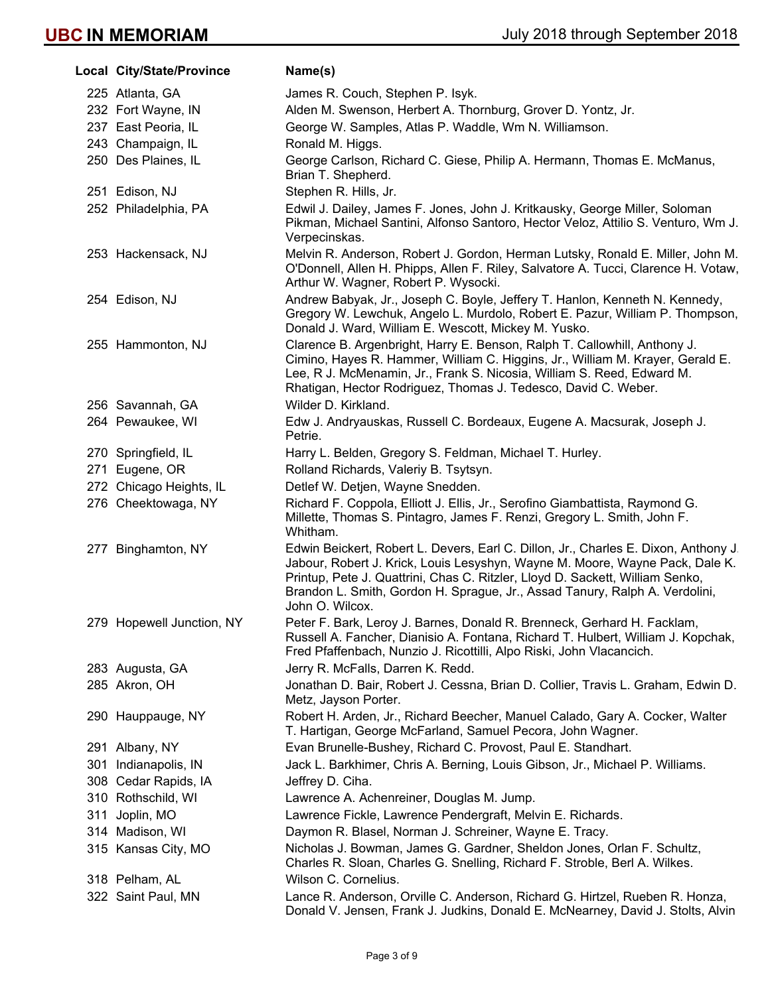|     | Local City/State/Province | Name(s)                                                                                                                                                                                                                                                                                                                                                |
|-----|---------------------------|--------------------------------------------------------------------------------------------------------------------------------------------------------------------------------------------------------------------------------------------------------------------------------------------------------------------------------------------------------|
|     | 225 Atlanta, GA           | James R. Couch, Stephen P. Isyk.                                                                                                                                                                                                                                                                                                                       |
|     | 232 Fort Wayne, IN        | Alden M. Swenson, Herbert A. Thornburg, Grover D. Yontz, Jr.                                                                                                                                                                                                                                                                                           |
|     | 237 East Peoria, IL       | George W. Samples, Atlas P. Waddle, Wm N. Williamson.                                                                                                                                                                                                                                                                                                  |
|     | 243 Champaign, IL         | Ronald M. Higgs.                                                                                                                                                                                                                                                                                                                                       |
|     | 250 Des Plaines, IL       | George Carlson, Richard C. Giese, Philip A. Hermann, Thomas E. McManus,<br>Brian T. Shepherd.                                                                                                                                                                                                                                                          |
|     | 251 Edison, NJ            | Stephen R. Hills, Jr.                                                                                                                                                                                                                                                                                                                                  |
|     | 252 Philadelphia, PA      | Edwil J. Dailey, James F. Jones, John J. Kritkausky, George Miller, Soloman<br>Pikman, Michael Santini, Alfonso Santoro, Hector Veloz, Attilio S. Venturo, Wm J.<br>Verpecinskas.                                                                                                                                                                      |
|     | 253 Hackensack, NJ        | Melvin R. Anderson, Robert J. Gordon, Herman Lutsky, Ronald E. Miller, John M.<br>O'Donnell, Allen H. Phipps, Allen F. Riley, Salvatore A. Tucci, Clarence H. Votaw,<br>Arthur W. Wagner, Robert P. Wysocki.                                                                                                                                           |
|     | 254 Edison, NJ            | Andrew Babyak, Jr., Joseph C. Boyle, Jeffery T. Hanlon, Kenneth N. Kennedy,<br>Gregory W. Lewchuk, Angelo L. Murdolo, Robert E. Pazur, William P. Thompson,<br>Donald J. Ward, William E. Wescott, Mickey M. Yusko.                                                                                                                                    |
|     | 255 Hammonton, NJ         | Clarence B. Argenbright, Harry E. Benson, Ralph T. Callowhill, Anthony J.<br>Cimino, Hayes R. Hammer, William C. Higgins, Jr., William M. Krayer, Gerald E.<br>Lee, R J. McMenamin, Jr., Frank S. Nicosia, William S. Reed, Edward M.<br>Rhatigan, Hector Rodriguez, Thomas J. Tedesco, David C. Weber.                                                |
|     | 256 Savannah, GA          | Wilder D. Kirkland.                                                                                                                                                                                                                                                                                                                                    |
|     | 264 Pewaukee, WI          | Edw J. Andryauskas, Russell C. Bordeaux, Eugene A. Macsurak, Joseph J.<br>Petrie.                                                                                                                                                                                                                                                                      |
|     | 270 Springfield, IL       | Harry L. Belden, Gregory S. Feldman, Michael T. Hurley.                                                                                                                                                                                                                                                                                                |
|     | 271 Eugene, OR            | Rolland Richards, Valeriy B. Tsytsyn.                                                                                                                                                                                                                                                                                                                  |
|     | 272 Chicago Heights, IL   | Detlef W. Detjen, Wayne Snedden.                                                                                                                                                                                                                                                                                                                       |
|     | 276 Cheektowaga, NY       | Richard F. Coppola, Elliott J. Ellis, Jr., Serofino Giambattista, Raymond G.<br>Millette, Thomas S. Pintagro, James F. Renzi, Gregory L. Smith, John F.<br>Whitham.                                                                                                                                                                                    |
|     | 277 Binghamton, NY        | Edwin Beickert, Robert L. Devers, Earl C. Dillon, Jr., Charles E. Dixon, Anthony J.<br>Jabour, Robert J. Krick, Louis Lesyshyn, Wayne M. Moore, Wayne Pack, Dale K.<br>Printup, Pete J. Quattrini, Chas C. Ritzler, Lloyd D. Sackett, William Senko,<br>Brandon L. Smith, Gordon H. Sprague, Jr., Assad Tanury, Ralph A. Verdolini,<br>John O. Wilcox. |
|     | 279 Hopewell Junction, NY | Peter F. Bark, Leroy J. Barnes, Donald R. Brenneck, Gerhard H. Facklam,<br>Russell A. Fancher, Dianisio A. Fontana, Richard T. Hulbert, William J. Kopchak,<br>Fred Pfaffenbach, Nunzio J. Ricottilli, Alpo Riski, John Vlacancich.                                                                                                                    |
|     | 283 Augusta, GA           | Jerry R. McFalls, Darren K. Redd.                                                                                                                                                                                                                                                                                                                      |
|     | 285 Akron, OH             | Jonathan D. Bair, Robert J. Cessna, Brian D. Collier, Travis L. Graham, Edwin D.<br>Metz, Jayson Porter.                                                                                                                                                                                                                                               |
|     | 290 Hauppauge, NY         | Robert H. Arden, Jr., Richard Beecher, Manuel Calado, Gary A. Cocker, Walter<br>T. Hartigan, George McFarland, Samuel Pecora, John Wagner.                                                                                                                                                                                                             |
|     | 291 Albany, NY            | Evan Brunelle-Bushey, Richard C. Provost, Paul E. Standhart.                                                                                                                                                                                                                                                                                           |
|     | 301 Indianapolis, IN      | Jack L. Barkhimer, Chris A. Berning, Louis Gibson, Jr., Michael P. Williams.                                                                                                                                                                                                                                                                           |
|     | 308 Cedar Rapids, IA      | Jeffrey D. Ciha.                                                                                                                                                                                                                                                                                                                                       |
|     | 310 Rothschild, WI        | Lawrence A. Achenreiner, Douglas M. Jump.                                                                                                                                                                                                                                                                                                              |
| 311 | Joplin, MO                | Lawrence Fickle, Lawrence Pendergraft, Melvin E. Richards.                                                                                                                                                                                                                                                                                             |
|     | 314 Madison, WI           | Daymon R. Blasel, Norman J. Schreiner, Wayne E. Tracy.                                                                                                                                                                                                                                                                                                 |
|     | 315 Kansas City, MO       | Nicholas J. Bowman, James G. Gardner, Sheldon Jones, Orlan F. Schultz,<br>Charles R. Sloan, Charles G. Snelling, Richard F. Stroble, Berl A. Wilkes.                                                                                                                                                                                                   |
|     | 318 Pelham, AL            | Wilson C. Cornelius.                                                                                                                                                                                                                                                                                                                                   |
|     | 322 Saint Paul, MN        | Lance R. Anderson, Orville C. Anderson, Richard G. Hirtzel, Rueben R. Honza,<br>Donald V. Jensen, Frank J. Judkins, Donald E. McNearney, David J. Stolts, Alvin                                                                                                                                                                                        |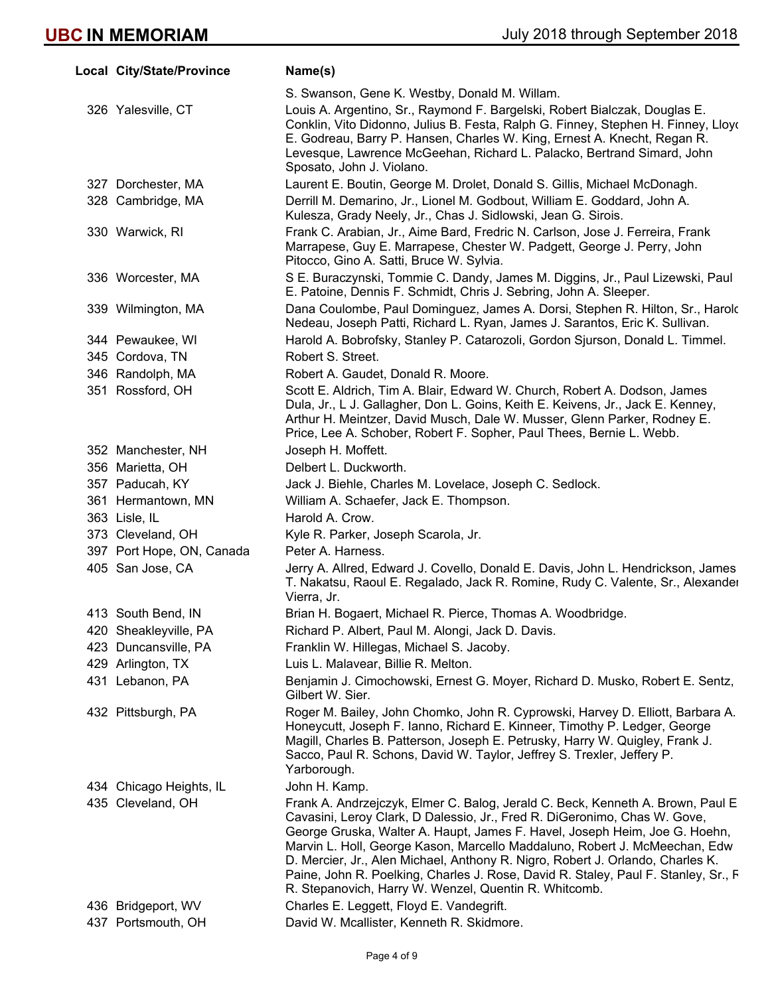| Local City/State/Province | Name(s)                                                                                                                                                                                                                                                                                                                                                                                                                                                                                                                                                  |
|---------------------------|----------------------------------------------------------------------------------------------------------------------------------------------------------------------------------------------------------------------------------------------------------------------------------------------------------------------------------------------------------------------------------------------------------------------------------------------------------------------------------------------------------------------------------------------------------|
|                           | S. Swanson, Gene K. Westby, Donald M. Willam.                                                                                                                                                                                                                                                                                                                                                                                                                                                                                                            |
| 326 Yalesville, CT        | Louis A. Argentino, Sr., Raymond F. Bargelski, Robert Bialczak, Douglas E.<br>Conklin, Vito Didonno, Julius B. Festa, Ralph G. Finney, Stephen H. Finney, Lloyo<br>E. Godreau, Barry P. Hansen, Charles W. King, Ernest A. Knecht, Regan R.<br>Levesque, Lawrence McGeehan, Richard L. Palacko, Bertrand Simard, John<br>Sposato, John J. Violano.                                                                                                                                                                                                       |
| 327 Dorchester, MA        | Laurent E. Boutin, George M. Drolet, Donald S. Gillis, Michael McDonagh.                                                                                                                                                                                                                                                                                                                                                                                                                                                                                 |
| 328 Cambridge, MA         | Derrill M. Demarino, Jr., Lionel M. Godbout, William E. Goddard, John A.<br>Kulesza, Grady Neely, Jr., Chas J. Sidlowski, Jean G. Sirois.                                                                                                                                                                                                                                                                                                                                                                                                                |
| 330 Warwick, RI           | Frank C. Arabian, Jr., Aime Bard, Fredric N. Carlson, Jose J. Ferreira, Frank<br>Marrapese, Guy E. Marrapese, Chester W. Padgett, George J. Perry, John<br>Pitocco, Gino A. Satti, Bruce W. Sylvia.                                                                                                                                                                                                                                                                                                                                                      |
| 336 Worcester, MA         | S E. Buraczynski, Tommie C. Dandy, James M. Diggins, Jr., Paul Lizewski, Paul<br>E. Patoine, Dennis F. Schmidt, Chris J. Sebring, John A. Sleeper.                                                                                                                                                                                                                                                                                                                                                                                                       |
| 339 Wilmington, MA        | Dana Coulombe, Paul Dominguez, James A. Dorsi, Stephen R. Hilton, Sr., Harold<br>Nedeau, Joseph Patti, Richard L. Ryan, James J. Sarantos, Eric K. Sullivan.                                                                                                                                                                                                                                                                                                                                                                                             |
| 344 Pewaukee, WI          | Harold A. Bobrofsky, Stanley P. Catarozoli, Gordon Sjurson, Donald L. Timmel.                                                                                                                                                                                                                                                                                                                                                                                                                                                                            |
| 345 Cordova, TN           | Robert S. Street.                                                                                                                                                                                                                                                                                                                                                                                                                                                                                                                                        |
| 346 Randolph, MA          | Robert A. Gaudet, Donald R. Moore.                                                                                                                                                                                                                                                                                                                                                                                                                                                                                                                       |
| 351 Rossford, OH          | Scott E. Aldrich, Tim A. Blair, Edward W. Church, Robert A. Dodson, James<br>Dula, Jr., L J. Gallagher, Don L. Goins, Keith E. Keivens, Jr., Jack E. Kenney,<br>Arthur H. Meintzer, David Musch, Dale W. Musser, Glenn Parker, Rodney E.<br>Price, Lee A. Schober, Robert F. Sopher, Paul Thees, Bernie L. Webb.                                                                                                                                                                                                                                         |
| 352 Manchester, NH        | Joseph H. Moffett.                                                                                                                                                                                                                                                                                                                                                                                                                                                                                                                                       |
| 356 Marietta, OH          | Delbert L. Duckworth.                                                                                                                                                                                                                                                                                                                                                                                                                                                                                                                                    |
| 357 Paducah, KY           | Jack J. Biehle, Charles M. Lovelace, Joseph C. Sedlock.                                                                                                                                                                                                                                                                                                                                                                                                                                                                                                  |
| 361 Hermantown, MN        | William A. Schaefer, Jack E. Thompson.                                                                                                                                                                                                                                                                                                                                                                                                                                                                                                                   |
| 363 Lisle, IL             | Harold A. Crow.                                                                                                                                                                                                                                                                                                                                                                                                                                                                                                                                          |
| 373 Cleveland, OH         | Kyle R. Parker, Joseph Scarola, Jr.                                                                                                                                                                                                                                                                                                                                                                                                                                                                                                                      |
| 397 Port Hope, ON, Canada | Peter A. Harness.                                                                                                                                                                                                                                                                                                                                                                                                                                                                                                                                        |
| 405 San Jose, CA          | Jerry A. Allred, Edward J. Covello, Donald E. Davis, John L. Hendrickson, James<br>T. Nakatsu, Raoul E. Regalado, Jack R. Romine, Rudy C. Valente, Sr., Alexander<br>Vierra, Jr.                                                                                                                                                                                                                                                                                                                                                                         |
| 413 South Bend, IN        | Brian H. Bogaert, Michael R. Pierce, Thomas A. Woodbridge.                                                                                                                                                                                                                                                                                                                                                                                                                                                                                               |
| 420 Sheakleyville, PA     | Richard P. Albert, Paul M. Alongi, Jack D. Davis.                                                                                                                                                                                                                                                                                                                                                                                                                                                                                                        |
| 423 Duncansville, PA      | Franklin W. Hillegas, Michael S. Jacoby.                                                                                                                                                                                                                                                                                                                                                                                                                                                                                                                 |
| 429 Arlington, TX         | Luis L. Malavear, Billie R. Melton.                                                                                                                                                                                                                                                                                                                                                                                                                                                                                                                      |
| 431 Lebanon, PA           | Benjamin J. Cimochowski, Ernest G. Moyer, Richard D. Musko, Robert E. Sentz,<br>Gilbert W. Sier.                                                                                                                                                                                                                                                                                                                                                                                                                                                         |
| 432 Pittsburgh, PA        | Roger M. Bailey, John Chomko, John R. Cyprowski, Harvey D. Elliott, Barbara A.<br>Honeycutt, Joseph F. Ianno, Richard E. Kinneer, Timothy P. Ledger, George<br>Magill, Charles B. Patterson, Joseph E. Petrusky, Harry W. Quigley, Frank J.<br>Sacco, Paul R. Schons, David W. Taylor, Jeffrey S. Trexler, Jeffery P.<br>Yarborough.                                                                                                                                                                                                                     |
| 434 Chicago Heights, IL   | John H. Kamp.                                                                                                                                                                                                                                                                                                                                                                                                                                                                                                                                            |
| 435 Cleveland, OH         | Frank A. Andrzejczyk, Elmer C. Balog, Jerald C. Beck, Kenneth A. Brown, Paul E<br>Cavasini, Leroy Clark, D Dalessio, Jr., Fred R. DiGeronimo, Chas W. Gove,<br>George Gruska, Walter A. Haupt, James F. Havel, Joseph Heim, Joe G. Hoehn,<br>Marvin L. Holl, George Kason, Marcello Maddaluno, Robert J. McMeechan, Edw<br>D. Mercier, Jr., Alen Michael, Anthony R. Nigro, Robert J. Orlando, Charles K.<br>Paine, John R. Poelking, Charles J. Rose, David R. Staley, Paul F. Stanley, Sr., F<br>R. Stepanovich, Harry W. Wenzel, Quentin R. Whitcomb. |
| 436 Bridgeport, WV        | Charles E. Leggett, Floyd E. Vandegrift.                                                                                                                                                                                                                                                                                                                                                                                                                                                                                                                 |
| 437 Portsmouth, OH        | David W. Mcallister, Kenneth R. Skidmore.                                                                                                                                                                                                                                                                                                                                                                                                                                                                                                                |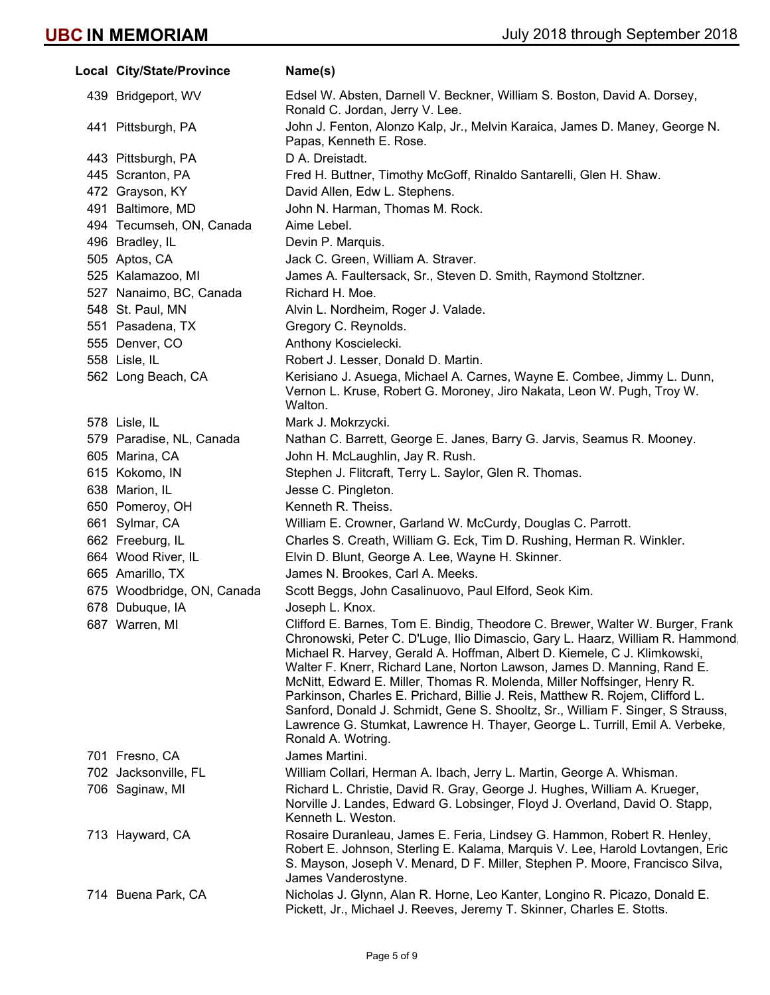| Local City/State/Province  | Name(s)                                                                                                                                                                                                                                                                                                                                                                                                                                                                                                                                                                                                                                                                        |
|----------------------------|--------------------------------------------------------------------------------------------------------------------------------------------------------------------------------------------------------------------------------------------------------------------------------------------------------------------------------------------------------------------------------------------------------------------------------------------------------------------------------------------------------------------------------------------------------------------------------------------------------------------------------------------------------------------------------|
| 439 Bridgeport, WV         | Edsel W. Absten, Darnell V. Beckner, William S. Boston, David A. Dorsey,<br>Ronald C. Jordan, Jerry V. Lee.                                                                                                                                                                                                                                                                                                                                                                                                                                                                                                                                                                    |
| 441 Pittsburgh, PA         | John J. Fenton, Alonzo Kalp, Jr., Melvin Karaica, James D. Maney, George N.<br>Papas, Kenneth E. Rose.                                                                                                                                                                                                                                                                                                                                                                                                                                                                                                                                                                         |
| 443 Pittsburgh, PA         | D A. Dreistadt.                                                                                                                                                                                                                                                                                                                                                                                                                                                                                                                                                                                                                                                                |
| 445 Scranton, PA           | Fred H. Buttner, Timothy McGoff, Rinaldo Santarelli, Glen H. Shaw.                                                                                                                                                                                                                                                                                                                                                                                                                                                                                                                                                                                                             |
| 472 Grayson, KY            | David Allen, Edw L. Stephens.                                                                                                                                                                                                                                                                                                                                                                                                                                                                                                                                                                                                                                                  |
| 491 Baltimore, MD          | John N. Harman, Thomas M. Rock.                                                                                                                                                                                                                                                                                                                                                                                                                                                                                                                                                                                                                                                |
| 494 Tecumseh, ON, Canada   | Aime Lebel.                                                                                                                                                                                                                                                                                                                                                                                                                                                                                                                                                                                                                                                                    |
| 496 Bradley, IL            | Devin P. Marquis.                                                                                                                                                                                                                                                                                                                                                                                                                                                                                                                                                                                                                                                              |
| 505 Aptos, CA              | Jack C. Green, William A. Straver.                                                                                                                                                                                                                                                                                                                                                                                                                                                                                                                                                                                                                                             |
| 525 Kalamazoo, MI          | James A. Faultersack, Sr., Steven D. Smith, Raymond Stoltzner.                                                                                                                                                                                                                                                                                                                                                                                                                                                                                                                                                                                                                 |
| 527 Nanaimo, BC, Canada    | Richard H. Moe.                                                                                                                                                                                                                                                                                                                                                                                                                                                                                                                                                                                                                                                                |
| 548 St. Paul, MN           | Alvin L. Nordheim, Roger J. Valade.                                                                                                                                                                                                                                                                                                                                                                                                                                                                                                                                                                                                                                            |
| 551 Pasadena, TX           | Gregory C. Reynolds.                                                                                                                                                                                                                                                                                                                                                                                                                                                                                                                                                                                                                                                           |
| 555 Denver, CO             | Anthony Koscielecki.                                                                                                                                                                                                                                                                                                                                                                                                                                                                                                                                                                                                                                                           |
| 558 Lisle, IL              | Robert J. Lesser, Donald D. Martin.                                                                                                                                                                                                                                                                                                                                                                                                                                                                                                                                                                                                                                            |
| 562 Long Beach, CA         | Kerisiano J. Asuega, Michael A. Carnes, Wayne E. Combee, Jimmy L. Dunn,<br>Vernon L. Kruse, Robert G. Moroney, Jiro Nakata, Leon W. Pugh, Troy W.<br>Walton.                                                                                                                                                                                                                                                                                                                                                                                                                                                                                                                   |
| 578 Lisle, IL              | Mark J. Mokrzycki.                                                                                                                                                                                                                                                                                                                                                                                                                                                                                                                                                                                                                                                             |
| 579 Paradise, NL, Canada   | Nathan C. Barrett, George E. Janes, Barry G. Jarvis, Seamus R. Mooney.                                                                                                                                                                                                                                                                                                                                                                                                                                                                                                                                                                                                         |
| 605 Marina, CA             | John H. McLaughlin, Jay R. Rush.                                                                                                                                                                                                                                                                                                                                                                                                                                                                                                                                                                                                                                               |
| 615 Kokomo, IN             | Stephen J. Flitcraft, Terry L. Saylor, Glen R. Thomas.                                                                                                                                                                                                                                                                                                                                                                                                                                                                                                                                                                                                                         |
| 638 Marion, IL             | Jesse C. Pingleton.                                                                                                                                                                                                                                                                                                                                                                                                                                                                                                                                                                                                                                                            |
| 650 Pomeroy, OH            | Kenneth R. Theiss.                                                                                                                                                                                                                                                                                                                                                                                                                                                                                                                                                                                                                                                             |
| 661 Sylmar, CA             | William E. Crowner, Garland W. McCurdy, Douglas C. Parrott.                                                                                                                                                                                                                                                                                                                                                                                                                                                                                                                                                                                                                    |
| 662 Freeburg, IL           | Charles S. Creath, William G. Eck, Tim D. Rushing, Herman R. Winkler.                                                                                                                                                                                                                                                                                                                                                                                                                                                                                                                                                                                                          |
| 664 Wood River, IL         | Elvin D. Blunt, George A. Lee, Wayne H. Skinner.                                                                                                                                                                                                                                                                                                                                                                                                                                                                                                                                                                                                                               |
| 665 Amarillo, TX           | James N. Brookes, Carl A. Meeks.                                                                                                                                                                                                                                                                                                                                                                                                                                                                                                                                                                                                                                               |
| 675 Woodbridge, ON, Canada | Scott Beggs, John Casalinuovo, Paul Elford, Seok Kim.                                                                                                                                                                                                                                                                                                                                                                                                                                                                                                                                                                                                                          |
| 678 Dubuque, IA            | Joseph L. Knox.                                                                                                                                                                                                                                                                                                                                                                                                                                                                                                                                                                                                                                                                |
| 687 Warren, MI             | Clifford E. Barnes, Tom E. Bindig, Theodore C. Brewer, Walter W. Burger, Frank<br>Chronowski, Peter C. D'Luge, Ilio Dimascio, Gary L. Haarz, William R. Hammond,<br>Michael R. Harvey, Gerald A. Hoffman, Albert D. Kiemele, C J. Klimkowski,<br>Walter F. Knerr, Richard Lane, Norton Lawson, James D. Manning, Rand E.<br>McNitt, Edward E. Miller, Thomas R. Molenda, Miller Noffsinger, Henry R.<br>Parkinson, Charles E. Prichard, Billie J. Reis, Matthew R. Rojem, Clifford L.<br>Sanford, Donald J. Schmidt, Gene S. Shooltz, Sr., William F. Singer, S Strauss,<br>Lawrence G. Stumkat, Lawrence H. Thayer, George L. Turrill, Emil A. Verbeke,<br>Ronald A. Wotring. |
| 701 Fresno, CA             | James Martini.                                                                                                                                                                                                                                                                                                                                                                                                                                                                                                                                                                                                                                                                 |
| 702 Jacksonville, FL       | William Collari, Herman A. Ibach, Jerry L. Martin, George A. Whisman.                                                                                                                                                                                                                                                                                                                                                                                                                                                                                                                                                                                                          |
| 706 Saginaw, MI            | Richard L. Christie, David R. Gray, George J. Hughes, William A. Krueger,<br>Norville J. Landes, Edward G. Lobsinger, Floyd J. Overland, David O. Stapp,<br>Kenneth L. Weston.                                                                                                                                                                                                                                                                                                                                                                                                                                                                                                 |
| 713 Hayward, CA            | Rosaire Duranleau, James E. Feria, Lindsey G. Hammon, Robert R. Henley,<br>Robert E. Johnson, Sterling E. Kalama, Marquis V. Lee, Harold Lovtangen, Eric<br>S. Mayson, Joseph V. Menard, D F. Miller, Stephen P. Moore, Francisco Silva,<br>James Vanderostyne.                                                                                                                                                                                                                                                                                                                                                                                                                |
| 714 Buena Park, CA         | Nicholas J. Glynn, Alan R. Horne, Leo Kanter, Longino R. Picazo, Donald E.<br>Pickett, Jr., Michael J. Reeves, Jeremy T. Skinner, Charles E. Stotts.                                                                                                                                                                                                                                                                                                                                                                                                                                                                                                                           |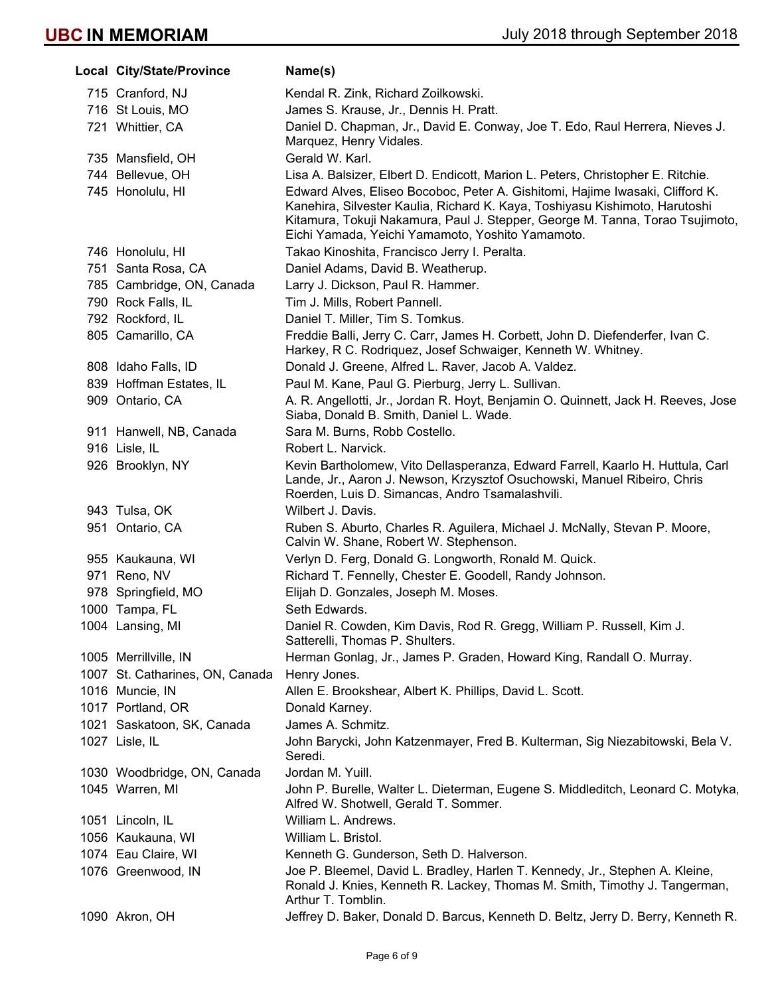| Local City/State/Province            | Name(s)                                                                                                                                                                                                                                                                                                                                                                              |
|--------------------------------------|--------------------------------------------------------------------------------------------------------------------------------------------------------------------------------------------------------------------------------------------------------------------------------------------------------------------------------------------------------------------------------------|
| 715 Cranford, NJ                     | Kendal R. Zink, Richard Zoilkowski.                                                                                                                                                                                                                                                                                                                                                  |
| 716 St Louis, MO                     | James S. Krause, Jr., Dennis H. Pratt.                                                                                                                                                                                                                                                                                                                                               |
| 721 Whittier, CA                     | Daniel D. Chapman, Jr., David E. Conway, Joe T. Edo, Raul Herrera, Nieves J.                                                                                                                                                                                                                                                                                                         |
| 735 Mansfield, OH                    | Marquez, Henry Vidales.                                                                                                                                                                                                                                                                                                                                                              |
|                                      | Gerald W. Karl.                                                                                                                                                                                                                                                                                                                                                                      |
| 744 Bellevue, OH<br>745 Honolulu, HI | Lisa A. Balsizer, Elbert D. Endicott, Marion L. Peters, Christopher E. Ritchie.<br>Edward Alves, Eliseo Bocoboc, Peter A. Gishitomi, Hajime Iwasaki, Clifford K.<br>Kanehira, Silvester Kaulia, Richard K. Kaya, Toshiyasu Kishimoto, Harutoshi<br>Kitamura, Tokuji Nakamura, Paul J. Stepper, George M. Tanna, Torao Tsujimoto,<br>Eichi Yamada, Yeichi Yamamoto, Yoshito Yamamoto. |
| 746 Honolulu, HI                     | Takao Kinoshita, Francisco Jerry I. Peralta.                                                                                                                                                                                                                                                                                                                                         |
| 751 Santa Rosa, CA                   | Daniel Adams, David B. Weatherup.                                                                                                                                                                                                                                                                                                                                                    |
| 785 Cambridge, ON, Canada            | Larry J. Dickson, Paul R. Hammer.                                                                                                                                                                                                                                                                                                                                                    |
| 790 Rock Falls, IL                   | Tim J. Mills, Robert Pannell.                                                                                                                                                                                                                                                                                                                                                        |
| 792 Rockford, IL                     | Daniel T. Miller, Tim S. Tomkus.                                                                                                                                                                                                                                                                                                                                                     |
| 805 Camarillo, CA                    | Freddie Balli, Jerry C. Carr, James H. Corbett, John D. Diefenderfer, Ivan C.<br>Harkey, R C. Rodriquez, Josef Schwaiger, Kenneth W. Whitney.                                                                                                                                                                                                                                        |
| 808 Idaho Falls, ID                  | Donald J. Greene, Alfred L. Raver, Jacob A. Valdez.                                                                                                                                                                                                                                                                                                                                  |
| 839 Hoffman Estates, IL              | Paul M. Kane, Paul G. Pierburg, Jerry L. Sullivan.                                                                                                                                                                                                                                                                                                                                   |
| 909 Ontario, CA                      | A. R. Angellotti, Jr., Jordan R. Hoyt, Benjamin O. Quinnett, Jack H. Reeves, Jose<br>Siaba, Donald B. Smith, Daniel L. Wade.                                                                                                                                                                                                                                                         |
| 911 Hanwell, NB, Canada              | Sara M. Burns, Robb Costello.                                                                                                                                                                                                                                                                                                                                                        |
| 916 Lisle, IL                        | Robert L. Narvick.                                                                                                                                                                                                                                                                                                                                                                   |
| 926 Brooklyn, NY                     | Kevin Bartholomew, Vito Dellasperanza, Edward Farrell, Kaarlo H. Huttula, Carl<br>Lande, Jr., Aaron J. Newson, Krzysztof Osuchowski, Manuel Ribeiro, Chris<br>Roerden, Luis D. Simancas, Andro Tsamalashvili.                                                                                                                                                                        |
| 943 Tulsa, OK                        | Wilbert J. Davis.                                                                                                                                                                                                                                                                                                                                                                    |
| 951 Ontario, CA                      | Ruben S. Aburto, Charles R. Aguilera, Michael J. McNally, Stevan P. Moore,<br>Calvin W. Shane, Robert W. Stephenson.                                                                                                                                                                                                                                                                 |
| 955 Kaukauna, WI                     | Verlyn D. Ferg, Donald G. Longworth, Ronald M. Quick.                                                                                                                                                                                                                                                                                                                                |
| 971 Reno, NV                         | Richard T. Fennelly, Chester E. Goodell, Randy Johnson.                                                                                                                                                                                                                                                                                                                              |
| 978 Springfield, MO                  | Elijah D. Gonzales, Joseph M. Moses.                                                                                                                                                                                                                                                                                                                                                 |
| 1000 Tampa, FL                       | Seth Edwards.                                                                                                                                                                                                                                                                                                                                                                        |
| 1004 Lansing, MI                     | Daniel R. Cowden, Kim Davis, Rod R. Gregg, William P. Russell, Kim J.<br>Satterelli, Thomas P. Shulters.                                                                                                                                                                                                                                                                             |
| 1005 Merrillville, IN                | Herman Gonlag, Jr., James P. Graden, Howard King, Randall O. Murray.                                                                                                                                                                                                                                                                                                                 |
| 1007 St. Catharines, ON, Canada      | Henry Jones.                                                                                                                                                                                                                                                                                                                                                                         |
| 1016 Muncie, IN                      | Allen E. Brookshear, Albert K. Phillips, David L. Scott.                                                                                                                                                                                                                                                                                                                             |
| 1017 Portland, OR                    | Donald Karney.                                                                                                                                                                                                                                                                                                                                                                       |
| 1021 Saskatoon, SK, Canada           | James A. Schmitz.                                                                                                                                                                                                                                                                                                                                                                    |
| 1027 Lisle, IL                       | John Barycki, John Katzenmayer, Fred B. Kulterman, Sig Niezabitowski, Bela V.<br>Seredi.                                                                                                                                                                                                                                                                                             |
| 1030 Woodbridge, ON, Canada          | Jordan M. Yuill.                                                                                                                                                                                                                                                                                                                                                                     |
| 1045 Warren, MI                      | John P. Burelle, Walter L. Dieterman, Eugene S. Middleditch, Leonard C. Motyka,<br>Alfred W. Shotwell, Gerald T. Sommer.                                                                                                                                                                                                                                                             |
| 1051 Lincoln, IL                     | William L. Andrews.                                                                                                                                                                                                                                                                                                                                                                  |
| 1056 Kaukauna, WI                    | William L. Bristol.                                                                                                                                                                                                                                                                                                                                                                  |
| 1074 Eau Claire, WI                  | Kenneth G. Gunderson, Seth D. Halverson.                                                                                                                                                                                                                                                                                                                                             |
| 1076 Greenwood, IN                   | Joe P. Bleemel, David L. Bradley, Harlen T. Kennedy, Jr., Stephen A. Kleine,<br>Ronald J. Knies, Kenneth R. Lackey, Thomas M. Smith, Timothy J. Tangerman,<br>Arthur T. Tomblin.                                                                                                                                                                                                     |
| 1090 Akron, OH                       | Jeffrey D. Baker, Donald D. Barcus, Kenneth D. Beltz, Jerry D. Berry, Kenneth R.                                                                                                                                                                                                                                                                                                     |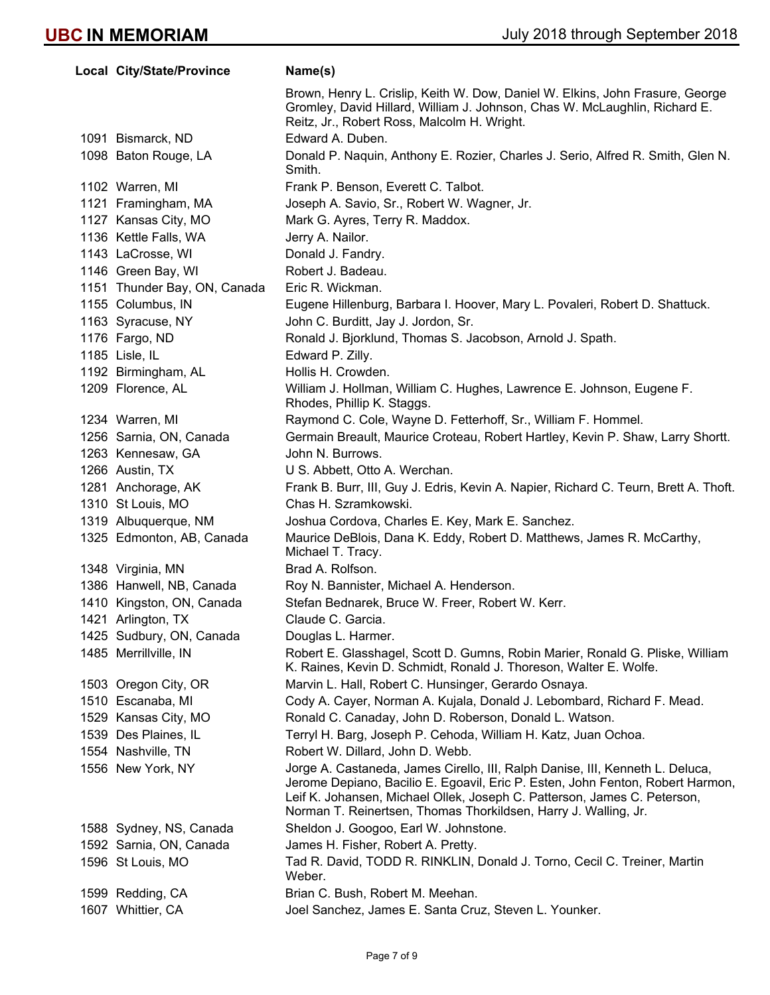| Local City/State/Province    | Name(s)                                                                                                                                                                                                                       |
|------------------------------|-------------------------------------------------------------------------------------------------------------------------------------------------------------------------------------------------------------------------------|
|                              | Brown, Henry L. Crislip, Keith W. Dow, Daniel W. Elkins, John Frasure, George<br>Gromley, David Hillard, William J. Johnson, Chas W. McLaughlin, Richard E.<br>Reitz, Jr., Robert Ross, Malcolm H. Wright.                    |
| 1091 Bismarck, ND            | Edward A. Duben.                                                                                                                                                                                                              |
| 1098 Baton Rouge, LA         | Donald P. Naquin, Anthony E. Rozier, Charles J. Serio, Alfred R. Smith, Glen N.<br>Smith.                                                                                                                                     |
| 1102 Warren, MI              | Frank P. Benson, Everett C. Talbot.                                                                                                                                                                                           |
| 1121 Framingham, MA          | Joseph A. Savio, Sr., Robert W. Wagner, Jr.                                                                                                                                                                                   |
| 1127 Kansas City, MO         | Mark G. Ayres, Terry R. Maddox.                                                                                                                                                                                               |
| 1136 Kettle Falls, WA        | Jerry A. Nailor.                                                                                                                                                                                                              |
| 1143 LaCrosse, WI            | Donald J. Fandry.                                                                                                                                                                                                             |
| 1146 Green Bay, WI           | Robert J. Badeau.                                                                                                                                                                                                             |
| 1151 Thunder Bay, ON, Canada | Eric R. Wickman.                                                                                                                                                                                                              |
| 1155 Columbus, IN            | Eugene Hillenburg, Barbara I. Hoover, Mary L. Povaleri, Robert D. Shattuck.                                                                                                                                                   |
| 1163 Syracuse, NY            | John C. Burditt, Jay J. Jordon, Sr.                                                                                                                                                                                           |
| 1176 Fargo, ND               | Ronald J. Bjorklund, Thomas S. Jacobson, Arnold J. Spath.                                                                                                                                                                     |
| 1185 Lisle, IL               | Edward P. Zilly.                                                                                                                                                                                                              |
| 1192 Birmingham, AL          | Hollis H. Crowden.                                                                                                                                                                                                            |
| 1209 Florence, AL            | William J. Hollman, William C. Hughes, Lawrence E. Johnson, Eugene F.<br>Rhodes, Phillip K. Staggs.                                                                                                                           |
| 1234 Warren, MI              | Raymond C. Cole, Wayne D. Fetterhoff, Sr., William F. Hommel.                                                                                                                                                                 |
| 1256 Sarnia, ON, Canada      | Germain Breault, Maurice Croteau, Robert Hartley, Kevin P. Shaw, Larry Shortt.                                                                                                                                                |
| 1263 Kennesaw, GA            | John N. Burrows.                                                                                                                                                                                                              |
| 1266 Austin, TX              | U S. Abbett, Otto A. Werchan.                                                                                                                                                                                                 |
| 1281 Anchorage, AK           | Frank B. Burr, III, Guy J. Edris, Kevin A. Napier, Richard C. Teurn, Brett A. Thoft.                                                                                                                                          |
| 1310 St Louis, MO            | Chas H. Szramkowski.                                                                                                                                                                                                          |
| 1319 Albuquerque, NM         | Joshua Cordova, Charles E. Key, Mark E. Sanchez.                                                                                                                                                                              |
| 1325 Edmonton, AB, Canada    | Maurice DeBlois, Dana K. Eddy, Robert D. Matthews, James R. McCarthy,<br>Michael T. Tracy.                                                                                                                                    |
| 1348 Virginia, MN            | Brad A. Rolfson.                                                                                                                                                                                                              |
| 1386 Hanwell, NB, Canada     | Roy N. Bannister, Michael A. Henderson.                                                                                                                                                                                       |
| 1410 Kingston, ON, Canada    | Stefan Bednarek, Bruce W. Freer, Robert W. Kerr.                                                                                                                                                                              |
| 1421 Arlington, TX           | Claude C. Garcia.                                                                                                                                                                                                             |
| 1425 Sudbury, ON, Canada     | Douglas L. Harmer.                                                                                                                                                                                                            |
| 1485 Merrillville, IN        | Robert E. Glasshagel, Scott D. Gumns, Robin Marier, Ronald G. Pliske, William<br>K. Raines, Kevin D. Schmidt, Ronald J. Thoreson, Walter E. Wolfe.                                                                            |
| 1503 Oregon City, OR         | Marvin L. Hall, Robert C. Hunsinger, Gerardo Osnaya.                                                                                                                                                                          |
| 1510 Escanaba, MI            | Cody A. Cayer, Norman A. Kujala, Donald J. Lebombard, Richard F. Mead.                                                                                                                                                        |
| 1529 Kansas City, MO         | Ronald C. Canaday, John D. Roberson, Donald L. Watson.                                                                                                                                                                        |
| 1539 Des Plaines, IL         | Terryl H. Barg, Joseph P. Cehoda, William H. Katz, Juan Ochoa.                                                                                                                                                                |
| 1554 Nashville, TN           | Robert W. Dillard, John D. Webb.                                                                                                                                                                                              |
| 1556 New York, NY            | Jorge A. Castaneda, James Cirello, III, Ralph Danise, III, Kenneth L. Deluca,                                                                                                                                                 |
|                              | Jerome Depiano, Bacilio E. Egoavil, Eric P. Esten, John Fenton, Robert Harmon,<br>Leif K. Johansen, Michael Ollek, Joseph C. Patterson, James C. Peterson,<br>Norman T. Reinertsen, Thomas Thorkildsen, Harry J. Walling, Jr. |
| 1588 Sydney, NS, Canada      | Sheldon J. Googoo, Earl W. Johnstone.                                                                                                                                                                                         |
| 1592 Sarnia, ON, Canada      | James H. Fisher, Robert A. Pretty.                                                                                                                                                                                            |
| 1596 St Louis, MO            | Tad R. David, TODD R. RINKLIN, Donald J. Torno, Cecil C. Treiner, Martin<br>Weber.                                                                                                                                            |
| 1599 Redding, CA             | Brian C. Bush, Robert M. Meehan.                                                                                                                                                                                              |
| 1607 Whittier, CA            | Joel Sanchez, James E. Santa Cruz, Steven L. Younker.                                                                                                                                                                         |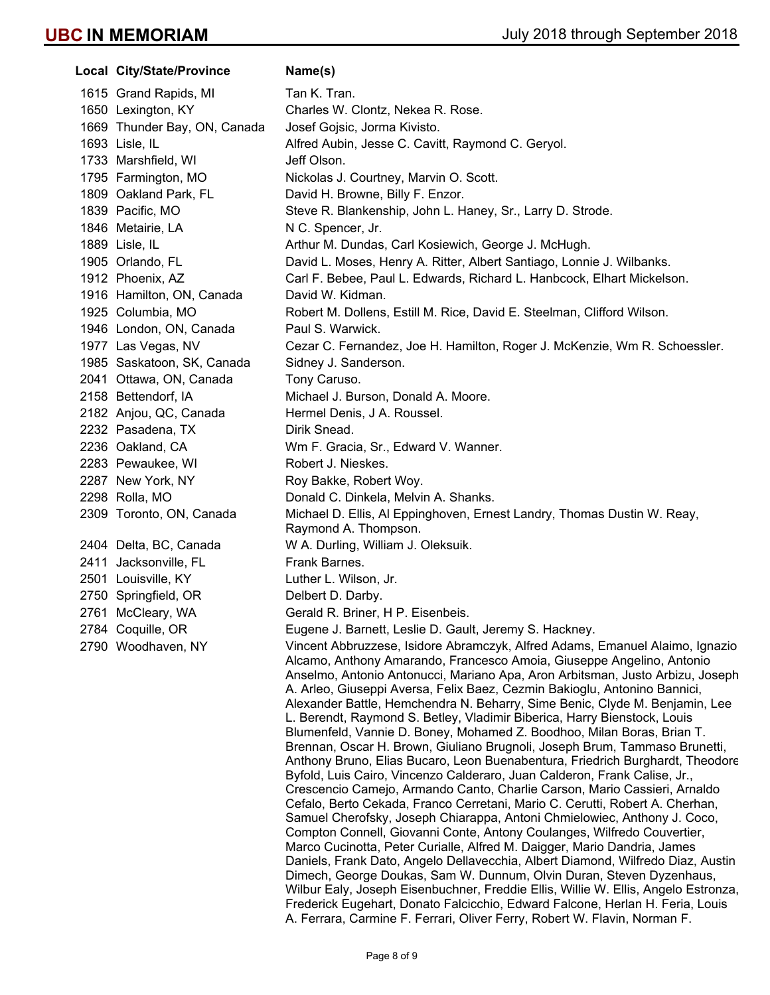**Local City/State/Province Mame(s)** 1615 Grand Rapids, MI Tan K. Tran. 1650 Lexington, KY Charles W. Clontz, Nekea R. Rose. 1669 Thunder Bay, ON, Canada Josef Gojsic, Jorma Kivisto. 1693 Lisle, IL Alfred Aubin, Jesse C. Cavitt, Raymond C. Geryol. 1733 Marshfield, WI Jeff Olson. 1795 Farmington, MO Nickolas J. Courtney, Marvin O. Scott. 1809 Oakland Park, FL David H. Browne, Billy F. Enzor. 1839 Pacific, MO Steve R. Blankenship, John L. Haney, Sr., Larry D. Strode. 1846 Metairie, LA N C. Spencer, Jr. 1889 Lisle, IL **Arthur M. Dundas, Carl Kosiewich, George J. McHugh.** Carl McHugh. 1905 Orlando, FL David L. Moses, Henry A. Ritter, Albert Santiago, Lonnie J. Wilbanks. 1912 Phoenix, AZ Carl F. Bebee, Paul L. Edwards, Richard L. Hanbcock, Elhart Mickelson. 1916 Hamilton, ON, Canada David W. Kidman. 1925 Columbia, MO Robert M. Dollens, Estill M. Rice, David E. Steelman, Clifford Wilson. 1946 London, ON, Canada Paul S. Warwick. 1977 Las Vegas, NV Cezar C. Fernandez, Joe H. Hamilton, Roger J. McKenzie, Wm R. Schoessler. 1985 Saskatoon, SK, Canada Sidney J. Sanderson. 2041 Ottawa, ON, Canada Tony Caruso. 2158 Bettendorf, IA Michael J. Burson, Donald A. Moore. 2182 Anjou, QC, Canada Hermel Denis, J A. Roussel. 2232 Pasadena, TX Dirik Snead. 2236 Oakland, CA Wm F. Gracia, Sr., Edward V. Wanner. 2283 Pewaukee, WI Robert J. Nieskes. 2287 New York, NY Roy Bakke, Robert Woy. 2298 Rolla, MO Donald C. Dinkela, Melvin A. Shanks. 2309 Toronto, ON, Canada Michael D. Ellis, Al Eppinghoven, Ernest Landry, Thomas Dustin W. Reay, Raymond A. Thompson. 2404 Delta, BC, Canada W A. Durling, William J. Oleksuik. 2411 Jacksonville, FL Frank Barnes. 2501 Louisville, KY Luther L. Wilson, Jr. 2750 Springfield, OR Delbert D. Darby. 2761 McCleary, WA Gerald R. Briner, H P. Eisenbeis. 2784 Coquille, OR Eugene J. Barnett, Leslie D. Gault, Jeremy S. Hackney. 2790 Woodhaven, NY Vincent Abbruzzese, Isidore Abramczyk, Alfred Adams, Emanuel Alaimo, Ignazio Alcamo, Anthony Amarando, Francesco Amoia, Giuseppe Angelino, Antonio Anselmo, Antonio Antonucci, Mariano Apa, Aron Arbitsman, Justo Arbizu, Joseph A. Arleo, Giuseppi Aversa, Felix Baez, Cezmin Bakioglu, Antonino Bannici, Alexander Battle, Hemchendra N. Beharry, Sime Benic, Clyde M. Benjamin, Lee L. Berendt, Raymond S. Betley, Vladimir Biberica, Harry Bienstock, Louis Blumenfeld, Vannie D. Boney, Mohamed Z. Boodhoo, Milan Boras, Brian T. Brennan, Oscar H. Brown, Giuliano Brugnoli, Joseph Brum, Tammaso Brunetti, Anthony Bruno, Elias Bucaro, Leon Buenabentura, Friedrich Burghardt, Theodore Byfold, Luis Cairo, Vincenzo Calderaro, Juan Calderon, Frank Calise, Jr., Crescencio Camejo, Armando Canto, Charlie Carson, Mario Cassieri, Arnaldo Cefalo, Berto Cekada, Franco Cerretani, Mario C. Cerutti, Robert A. Cherhan, Samuel Cherofsky, Joseph Chiarappa, Antoni Chmielowiec, Anthony J. Coco, Compton Connell, Giovanni Conte, Antony Coulanges, Wilfredo Couvertier, Marco Cucinotta, Peter Curialle, Alfred M. Daigger, Mario Dandria, James Daniels, Frank Dato, Angelo Dellavecchia, Albert Diamond, Wilfredo Diaz, Austin Dimech, George Doukas, Sam W. Dunnum, Olvin Duran, Steven Dyzenhaus, Wilbur Ealy, Joseph Eisenbuchner, Freddie Ellis, Willie W. Ellis, Angelo Estronza, Frederick Eugehart, Donato Falcicchio, Edward Falcone, Herlan H. Feria, Louis

A. Ferrara, Carmine F. Ferrari, Oliver Ferry, Robert W. Flavin, Norman F.